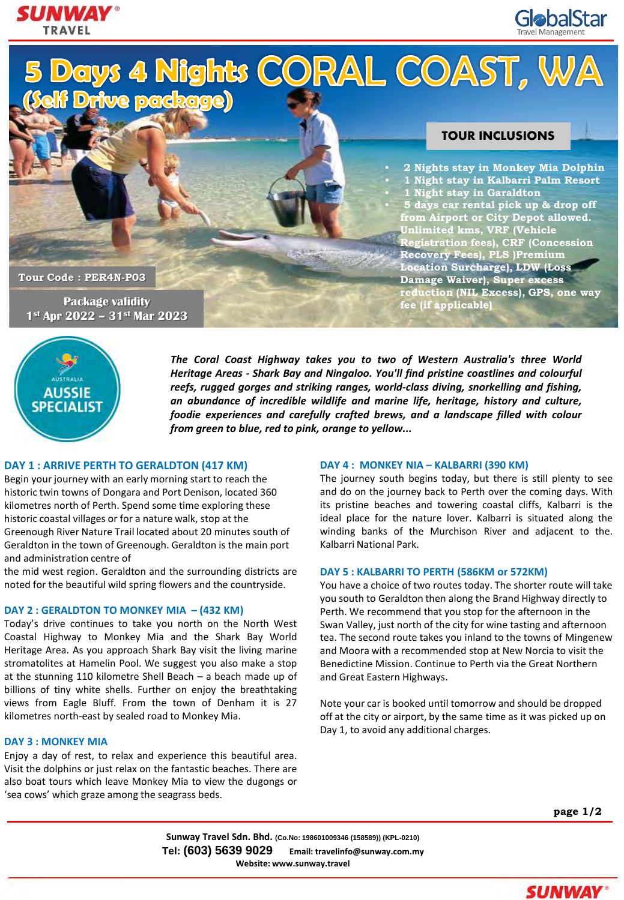



5 Days 4 Nights CORAL COAST, WA<br>Self Drive package)

# **TOUR INCLUSIONS**

• **2 Nights stay in Monkey Mia Dolphin** • **1 Night stay in Kalbarri Palm Resort** • **1 Night stay in Garaldton** • **5 days car rental pick up & drop off from Airport or City Depot allowed. Unlimited kms, VRF (Vehicle Registration fees), CRF (Concession Recovery Fees), PLS )Premium Location Surcharge), LDW (Loss Damage Waiver), Super excess reduction (NIL Excess), GPS, one way fee (if applicable)**

**Tour Code : PER4N-P03** 

**Package validity 1st Apr 2022 – 31st Mar 2023**



*The Coral Coast Highway takes you to two of Western Australia's three World Heritage Areas - Shark Bay and Ningaloo. You'll find pristine coastlines and colourful reefs, rugged gorges and striking ranges, world-class diving, snorkelling and fishing, an abundance of incredible wildlife and marine life, heritage, history and culture, foodie experiences and carefully crafted brews, and a landscape filled with colour from green to blue, red to pink, orange to yellow...*

## **DAY 1 : ARRIVE PERTH TO GERALDTON (417 KM)**

Begin your journey with an early morning start to reach the historic twin towns of Dongara and Port Denison, located 360 kilometres north of Perth. Spend some time exploring these historic coastal villages or for a nature walk, stop at the Greenough River Nature Trail located about 20 minutes south of Geraldton in the town of Greenough. Geraldton is the main port and administration centre of

the mid west region. Geraldton and the surrounding districts are noted for the beautiful wild spring flowers and the countryside.

### **DAY 2 : GERALDTON TO MONKEY MIA – (432 KM)**

Today's drive continues to take you north on the North West Coastal Highway to Monkey Mia and the Shark Bay World Heritage Area. As you approach Shark Bay visit the living marine stromatolites at Hamelin Pool. We suggest you also make a stop at the stunning 110 kilometre Shell Beach – a beach made up of billions of tiny white shells. Further on enjoy the breathtaking views from Eagle Bluff. From the town of Denham it is 27 kilometres north-east by sealed road to Monkey Mia.

### **DAY 3 : MONKEY MIA**

Enjoy a day of rest, to relax and experience this beautiful area. Visit the dolphins or just relax on the fantastic beaches. There are also boat tours which leave Monkey Mia to view the dugongs or 'sea cows' which graze among the seagrass beds.

### **DAY 4 : MONKEY NIA – KALBARRI (390 KM)**

The journey south begins today, but there is still plenty to see and do on the journey back to Perth over the coming days. With its pristine beaches and towering coastal cliffs, Kalbarri is the ideal place for the nature lover. Kalbarri is situated along the winding banks of the Murchison River and adjacent to the. Kalbarri National Park.

### **DAY 5 : KALBARRI TO PERTH (586KM or 572KM)**

You have a choice of two routes today. The shorter route will take you south to Geraldton then along the Brand Highway directly to Perth. We recommend that you stop for the afternoon in the Swan Valley, just north of the city for wine tasting and afternoon tea. The second route takes you inland to the towns of Mingenew and Moora with a recommended stop at New Norcia to visit the Benedictine Mission. Continue to Perth via the Great Northern and Great Eastern Highways.

Note your car is booked until tomorrow and should be dropped off at the city or airport, by the same time as it was picked up on Day 1, to avoid any additional charges.

**page 1/2**

**Sunway Travel Sdn. Bhd. (Co.No: 198601009346 (158589)) (KPL-0210) Tel: (603) 5639 9029 Email: travelinfo@sunway.com.my Website: www.sunway.travel**